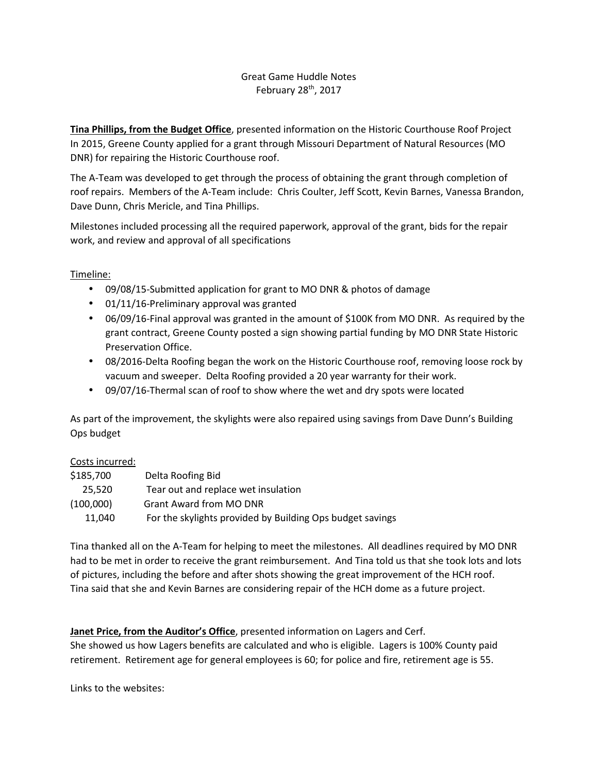## Great Game Huddle Notes February 28<sup>th</sup>, 2017

**Tina Phillips, from the Budget Office**, presented information on the Historic Courthouse Roof Project In 2015, Greene County applied for a grant through Missouri Department of Natural Resources (MO DNR) for repairing the Historic Courthouse roof.

The A-Team was developed to get through the process of obtaining the grant through completion of roof repairs. Members of the A-Team include: Chris Coulter, Jeff Scott, Kevin Barnes, Vanessa Brandon, Dave Dunn, Chris Mericle, and Tina Phillips.

Milestones included processing all the required paperwork, approval of the grant, bids for the repair work, and review and approval of all specifications

## Timeline:

- 09/08/15-Submitted application for grant to MO DNR & photos of damage
- 01/11/16-Preliminary approval was granted
- 06/09/16-Final approval was granted in the amount of \$100K from MO DNR. As required by the grant contract, Greene County posted a sign showing partial funding by MO DNR State Historic Preservation Office.
- 08/2016-Delta Roofing began the work on the Historic Courthouse roof, removing loose rock by vacuum and sweeper. Delta Roofing provided a 20 year warranty for their work.
- 09/07/16-Thermal scan of roof to show where the wet and dry spots were located

As part of the improvement, the skylights were also repaired using savings from Dave Dunn's Building Ops budget

## Costs incurred:

| \$185,700 | Delta Roofing Bid                                         |
|-----------|-----------------------------------------------------------|
| 25.520    | Tear out and replace wet insulation                       |
| (100,000) | <b>Grant Award from MO DNR</b>                            |
| 11.040    | For the skylights provided by Building Ops budget savings |

Tina thanked all on the A-Team for helping to meet the milestones. All deadlines required by MO DNR had to be met in order to receive the grant reimbursement. And Tina told us that she took lots and lots of pictures, including the before and after shots showing the great improvement of the HCH roof. Tina said that she and Kevin Barnes are considering repair of the HCH dome as a future project.

**Janet Price, from the Auditor's Office**, presented information on Lagers and Cerf. She showed us how Lagers benefits are calculated and who is eligible. Lagers is 100% County paid retirement. Retirement age for general employees is 60; for police and fire, retirement age is 55.

Links to the websites: